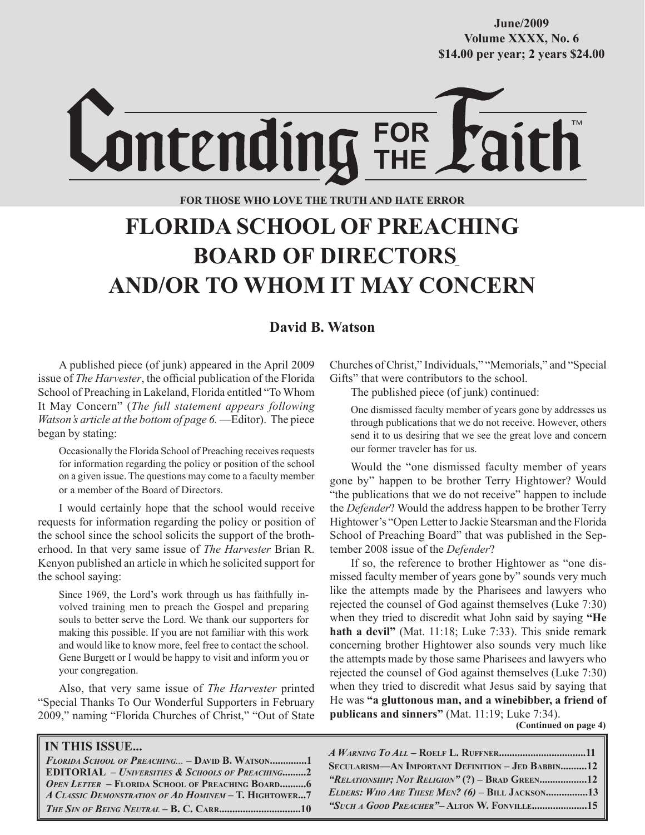**Volume XXXX, No. 6 Volume XXXVIII, No. 10 \$14.00 per year; 2 years \$24.00 \$14.00 per year; 2 years \$24.00 June/2009**

# Lontending FOR

#### **FOR THOSE WHO LOVE THE TRUTH AND HATE ERROR**

# **FLORIDA SCHOOL OF PREACHING BOARD OF DIRECTORS AND/OR TO WHOM IT MAY CONCERN**

#### **David B. Watson**

A published piece (of junk) appeared in the April 2009 issue of *The Harvester*, the official publication of the Florida School of Preaching in Lakeland, Florida entitled "To Whom It May Concern" (*The full statement appears following Watson's article at the bottom of page 6.* —Editor). The piece began by stating:

Occasionally the Florida School of Preaching receives requests for information regarding the policy or position of the school on a given issue. The questions may come to a faculty member or a member of the Board of Directors.

I would certainly hope that the school would receive requests for information regarding the policy or position of the school since the school solicits the support of the brotherhood. In that very same issue of *The Harvester* Brian R. Kenyon published an article in which he solicited support for the school saying:

Since 1969, the Lord's work through us has faithfully involved training men to preach the Gospel and preparing souls to better serve the Lord. We thank our supporters for making this possible. If you are not familiar with this work and would like to know more, feel free to contact the school. Gene Burgett or I would be happy to visit and inform you or your congregation.

Also, that very same issue of *The Harvester* printed "Special Thanks To Our Wonderful Supporters in February 2009," naming "Florida Churches of Christ," "Out of State

#### **IN THIS ISSUE...**

*FLORIDA SCHOOL OF PREACHING...* **– DAVID B. WATSON..............1 EDITORIAL –** *UNIVERSITIES & SCHOOLS OF PREACHING***.........2** *OPEN LETTER* **– FLORIDA SCHOOL OF PREACHING BOARD..........6**  *A CLASSIC DEMONSTRATION OF AD HOMINEM* **– T. HIGHTOWER...7** *THE SIN OF BEING NEUTRAL* **– B. C. CARR...............................10**

Churches of Christ," Individuals," "Memorials," and "Special Gifts" that were contributors to the school.

The published piece (of junk) continued:

One dismissed faculty member of years gone by addresses us through publications that we do not receive. However, others send it to us desiring that we see the great love and concern our former traveler has for us.

Would the "one dismissed faculty member of years gone by" happen to be brother Terry Hightower? Would "the publications that we do not receive" happen to include the *Defender*? Would the address happen to be brother Terry Hightower's "Open Letter to Jackie Stearsman and the Florida School of Preaching Board" that was published in the September 2008 issue of the *Defender*?

If so, the reference to brother Hightower as "one dismissed faculty member of years gone by" sounds very much like the attempts made by the Pharisees and lawyers who rejected the counsel of God against themselves (Luke 7:30) when they tried to discredit what John said by saying **"He hath a devil"** (Mat. 11:18; Luke 7:33). This snide remark concerning brother Hightower also sounds very much like the attempts made by those same Pharisees and lawyers who rejected the counsel of God against themselves (Luke 7:30) when they tried to discredit what Jesus said by saying that He was **"a gluttonous man, and a winebibber, a friend of publicans and sinners"** (Mat. 11:19; Luke 7:34).

 **(Continued on page 4)**

*A WARNING TO ALL* **– ROELF L. RUFFNER.................................11 SECULARISM—AN IMPORTANT DEFINITION – JED BABBIN..........12** *"RELATIONSHIP; NOT RELIGION"* **(?) – BRAD GREEN..................12** *ELDERS: WHO ARE THESE MEN? (6)* **– BILL JACKSON................13** *"SUCH A GOOD PREACHER"***– ALTON W. FONVILLE.....................15**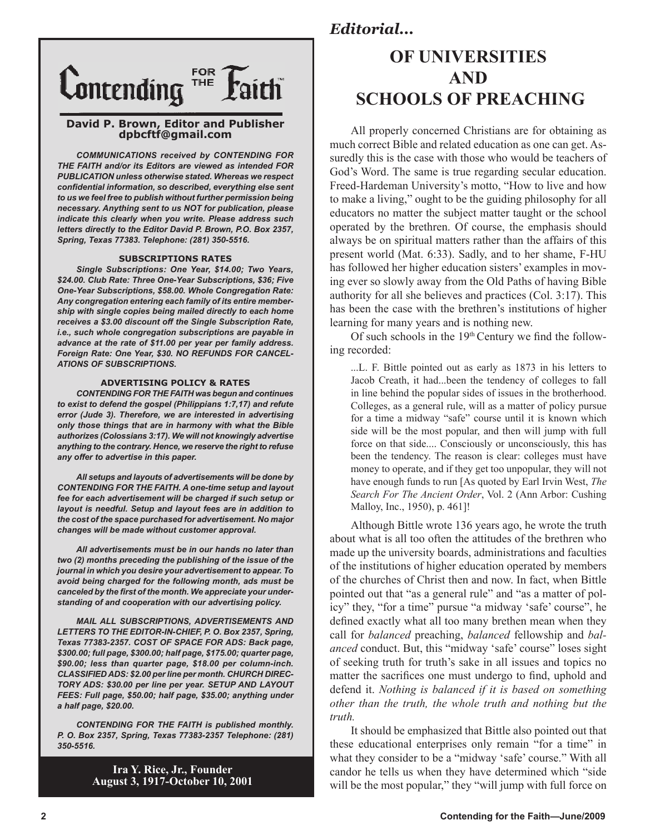

#### **David P. Brown, Editor and Publisher dpbcftf@gmail.com**

*COMMUNICATIONS received by CONTENDING FOR THE FAITH and/or its Editors are viewed as intended FOR PUBLICATION unless otherwise stated. Whereas we respect confidential information, so described, everything else sent to us we feel free to publish without further permission being necessary. Anything sent to us NOT for publication, please indicate this clearly when you write. Please address such letters directly to the Editor David P. Brown, P.O. Box 2357, Spring, Texas 77383. Telephone: (281) 350-5516.*

#### **SUBSCRIPTIONS RATES**

*Single Subscriptions: One Year, \$14.00; Two Years, \$24.00. Club Rate: Three One-Year Subscriptions, \$36; Five One-Year Subscriptions, \$58.00. Whole Congregation Rate: Any congregation entering each family of its entire membership with single copies being mailed directly to each home receives a \$3.00 discount off the Single Subscription Rate, i.e., such whole congregation subscriptions are payable in advance at the rate of \$11.00 per year per family address. Foreign Rate: One Year, \$30. NO REFUNDS FOR CANCEL-ATIONS OF SUBSCRIPTIONS.*

#### **ADVERTISING POLICY & RATES**

*CONTENDING FOR THE FAITH was begun and continues to exist to defend the gospel (Philippians 1:7,17) and refute error (Jude 3). Therefore, we are interested in advertising only those things that are in harmony with what the Bible authorizes (Colossians 3:17). We will not knowingly advertise anything to the contrary. Hence, we reserve the right to refuse any offer to advertise in this paper.*

*All setups and layouts of advertisements will be done by CONTENDING FOR THE FAITH. A one-time setup and layout fee for each advertisement will be charged if such setup or layout is needful. Setup and layout fees are in addition to the cost of the space purchased for advertisement. No major changes will be made without customer approval.*

*All advertisements must be in our hands no later than two (2) months preceding the publishing of the issue of the journal in which you desire your advertisement to appear. To avoid being charged for the following month, ads must be canceled by the first of the month. We appreciate your understanding of and cooperation with our advertising policy.*

*MAIL ALL SUBSCRIPTIONS, ADVERTISEMENTS AND LETTERS TO THE EDITOR-IN-CHIEF, P. O. Box 2357, Spring, Texas 77383-2357. COST OF SPACE FOR ADS: Back page, \$300.00; full page, \$300.00; half page, \$175.00; quarter page, \$90.00; less than quarter page, \$18.00 per column-inch. CLASSIFIED ADS: \$2.00 per line per month. CHURCH DIREC-TORY ADS: \$30.00 per line per year. SETUP AND LAYOUT FEES: Full page, \$50.00; half page, \$35.00; anything under a half page, \$20.00.*

*CONTENDING FOR THE FAITH is published monthly. P. O. Box 2357, Spring, Texas 77383-2357 Telephone: (281) 350-5516.*

> **Ira Y. Rice, Jr., Founder August 3, 1917-October 10, 2001**

## **OF UNIVERSITIES AND SCHOOLS OF PREACHING**

All properly concerned Christians are for obtaining as much correct Bible and related education as one can get. Assuredly this is the case with those who would be teachers of God's Word. The same is true regarding secular education. Freed-Hardeman University's motto, "How to live and how to make a living," ought to be the guiding philosophy for all educators no matter the subject matter taught or the school operated by the brethren. Of course, the emphasis should always be on spiritual matters rather than the affairs of this present world (Mat. 6:33). Sadly, and to her shame, F-HU has followed her higher education sisters' examples in moving ever so slowly away from the Old Paths of having Bible authority for all she believes and practices (Col. 3:17). This has been the case with the brethren's institutions of higher learning for many years and is nothing new.

Of such schools in the  $19<sup>th</sup>$  Century we find the following recorded:

...L. F. Bittle pointed out as early as 1873 in his letters to Jacob Creath, it had...been the tendency of colleges to fall in line behind the popular sides of issues in the brotherhood. Colleges, as a general rule, will as a matter of policy pursue for a time a midway "safe" course until it is known which side will be the most popular, and then will jump with full force on that side.... Consciously or unconsciously, this has been the tendency. The reason is clear: colleges must have money to operate, and if they get too unpopular, they will not have enough funds to run [As quoted by Earl Irvin West, *The Search For The Ancient Order*, Vol. 2 (Ann Arbor: Cushing Malloy, Inc., 1950), p. 461]!

Although Bittle wrote 136 years ago, he wrote the truth about what is all too often the attitudes of the brethren who made up the university boards, administrations and faculties of the institutions of higher education operated by members of the churches of Christ then and now. In fact, when Bittle pointed out that "as a general rule" and "as a matter of policy" they, "for a time" pursue "a midway 'safe' course", he defined exactly what all too many brethen mean when they call for *balanced* preaching, *balanced* fellowship and *balanced* conduct. But, this "midway 'safe' course" loses sight of seeking truth for truth's sake in all issues and topics no matter the sacrifices one must undergo to find, uphold and defend it. *Nothing is balanced if it is based on something other than the truth, the whole truth and nothing but the truth.*

It should be emphasized that Bittle also pointed out that these educational enterprises only remain "for a time" in what they consider to be a "midway 'safe' course." With all candor he tells us when they have determined which "side will be the most popular," they "will jump with full force on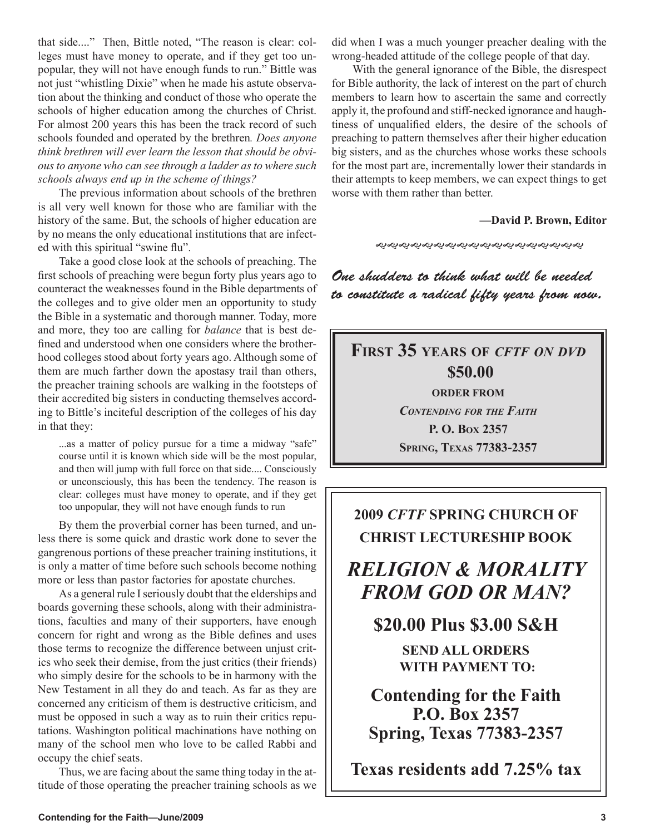that side...." Then, Bittle noted, "The reason is clear: colleges must have money to operate, and if they get too unpopular, they will not have enough funds to run." Bittle was not just "whistling Dixie" when he made his astute observation about the thinking and conduct of those who operate the schools of higher education among the churches of Christ. For almost 200 years this has been the track record of such schools founded and operated by the brethren*. Does anyone think brethren will ever learn the lesson that should be obvious to anyone who can see through a ladder as to where such schools always end up in the scheme of things?* 

The previous information about schools of the brethren is all very well known for those who are familiar with the history of the same. But, the schools of higher education are by no means the only educational institutions that are infected with this spiritual "swine flu".

Take a good close look at the schools of preaching. The first schools of preaching were begun forty plus years ago to counteract the weaknesses found in the Bible departments of the colleges and to give older men an opportunity to study the Bible in a systematic and thorough manner. Today, more and more, they too are calling for *balance* that is best defined and understood when one considers where the brotherhood colleges stood about forty years ago. Although some of them are much farther down the apostasy trail than others, the preacher training schools are walking in the footsteps of their accredited big sisters in conducting themselves according to Bittle's inciteful description of the colleges of his day in that they:

...as a matter of policy pursue for a time a midway "safe" course until it is known which side will be the most popular, and then will jump with full force on that side.... Consciously or unconsciously, this has been the tendency. The reason is clear: colleges must have money to operate, and if they get too unpopular, they will not have enough funds to run

By them the proverbial corner has been turned, and unless there is some quick and drastic work done to sever the gangrenous portions of these preacher training institutions, it is only a matter of time before such schools become nothing more or less than pastor factories for apostate churches.

As a general rule I seriously doubt that the elderships and boards governing these schools, along with their administrations, faculties and many of their supporters, have enough concern for right and wrong as the Bible defines and uses those terms to recognize the difference between unjust critics who seek their demise, from the just critics (their friends) who simply desire for the schools to be in harmony with the New Testament in all they do and teach. As far as they are concerned any criticism of them is destructive criticism, and must be opposed in such a way as to ruin their critics reputations. Washington political machinations have nothing on many of the school men who love to be called Rabbi and occupy the chief seats.

Thus, we are facing about the same thing today in the attitude of those operating the preacher training schools as we did when I was a much younger preacher dealing with the wrong-headed attitude of the college people of that day.

With the general ignorance of the Bible, the disrespect for Bible authority, the lack of interest on the part of church members to learn how to ascertain the same and correctly apply it, the profound and stiff-necked ignorance and haughtiness of unqualified elders, the desire of the schools of preaching to pattern themselves after their higher education big sisters, and as the churches whose works these schools for the most part are, incrementally lower their standards in their attempts to keep members, we can expect things to get worse with them rather than better.

#### **—David P. Brown, Editor**

One shudders to think what will be needed to constitute a radical fifty years from now.

### **FIRST 35 YEARS OF** *CFTF ON DVD* **\$50.00 ORDER FROM** *CONTENDING FOR THE FAITH* **P. O. BOX 2357 SPRING, TEXAS 77383-2357**

## **2009** *CFTF* **SPRING CHURCH OF CHRIST LECTURESHIP BOOK**

## *RELIGION & MORALITY FROM GOD OR MAN?*

**\$20.00 Plus \$3.00 S&H**

**SEND ALL ORDERS WITH PAYMENT TO:**

**Contending for the Faith P.O. Box 2357 Spring, Texas 77383-2357**

**Texas residents add 7.25% tax**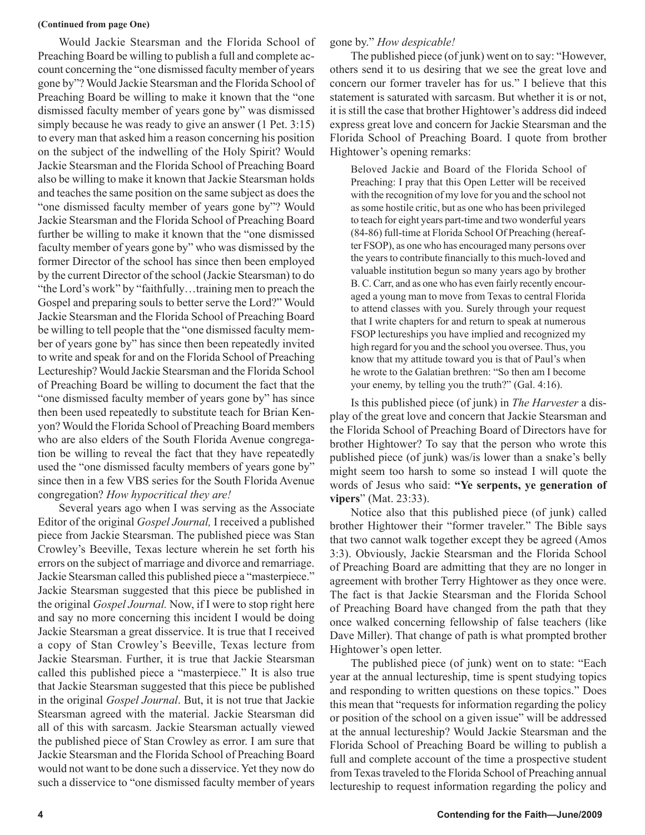#### **(Continued from page One)**

Would Jackie Stearsman and the Florida School of Preaching Board be willing to publish a full and complete account concerning the "one dismissed faculty member of years gone by"? Would Jackie Stearsman and the Florida School of Preaching Board be willing to make it known that the "one dismissed faculty member of years gone by" was dismissed simply because he was ready to give an answer (1 Pet. 3:15) to every man that asked him a reason concerning his position on the subject of the indwelling of the Holy Spirit? Would Jackie Stearsman and the Florida School of Preaching Board also be willing to make it known that Jackie Stearsman holds and teaches the same position on the same subject as does the "one dismissed faculty member of years gone by"? Would Jackie Stearsman and the Florida School of Preaching Board further be willing to make it known that the "one dismissed faculty member of years gone by" who was dismissed by the former Director of the school has since then been employed by the current Director of the school (Jackie Stearsman) to do "the Lord's work" by "faithfully…training men to preach the Gospel and preparing souls to better serve the Lord?" Would Jackie Stearsman and the Florida School of Preaching Board be willing to tell people that the "one dismissed faculty member of years gone by" has since then been repeatedly invited to write and speak for and on the Florida School of Preaching Lectureship? Would Jackie Stearsman and the Florida School of Preaching Board be willing to document the fact that the "one dismissed faculty member of years gone by" has since then been used repeatedly to substitute teach for Brian Kenyon? Would the Florida School of Preaching Board members who are also elders of the South Florida Avenue congregation be willing to reveal the fact that they have repeatedly used the "one dismissed faculty members of years gone by" since then in a few VBS series for the South Florida Avenue congregation? *How hypocritical they are!*

Several years ago when I was serving as the Associate Editor of the original *Gospel Journal,* I received a published piece from Jackie Stearsman. The published piece was Stan Crowley's Beeville, Texas lecture wherein he set forth his errors on the subject of marriage and divorce and remarriage. Jackie Stearsman called this published piece a "masterpiece." Jackie Stearsman suggested that this piece be published in the original *Gospel Journal.* Now, if I were to stop right here and say no more concerning this incident I would be doing Jackie Stearsman a great disservice. It is true that I received a copy of Stan Crowley's Beeville, Texas lecture from Jackie Stearsman. Further, it is true that Jackie Stearsman called this published piece a "masterpiece." It is also true that Jackie Stearsman suggested that this piece be published in the original *Gospel Journal*. But, it is not true that Jackie Stearsman agreed with the material. Jackie Stearsman did all of this with sarcasm. Jackie Stearsman actually viewed the published piece of Stan Crowley as error. I am sure that Jackie Stearsman and the Florida School of Preaching Board would not want to be done such a disservice. Yet they now do such a disservice to "one dismissed faculty member of years

#### gone by." *How despicable!*

The published piece (of junk) went on to say: "However, others send it to us desiring that we see the great love and concern our former traveler has for us." I believe that this statement is saturated with sarcasm. But whether it is or not, it is still the case that brother Hightower's address did indeed express great love and concern for Jackie Stearsman and the Florida School of Preaching Board. I quote from brother Hightower's opening remarks:

Beloved Jackie and Board of the Florida School of Preaching: I pray that this Open Letter will be received with the recognition of my love for you and the school not as some hostile critic, but as one who has been privileged to teach for eight years part-time and two wonderful years (84-86) full-time at Florida School Of Preaching (hereafter FSOP), as one who has encouraged many persons over the years to contribute financially to this much-loved and valuable institution begun so many years ago by brother B. C. Carr, and as one who has even fairly recently encouraged a young man to move from Texas to central Florida to attend classes with you. Surely through your request that I write chapters for and return to speak at numerous FSOP lectureships you have implied and recognized my high regard for you and the school you oversee. Thus, you know that my attitude toward you is that of Paul's when he wrote to the Galatian brethren: "So then am I become your enemy, by telling you the truth?" (Gal. 4:16).

Is this published piece (of junk) in *The Harvester* a display of the great love and concern that Jackie Stearsman and the Florida School of Preaching Board of Directors have for brother Hightower? To say that the person who wrote this published piece (of junk) was/is lower than a snake's belly might seem too harsh to some so instead I will quote the words of Jesus who said: **"Ye serpents, ye generation of vipers**" (Mat. 23:33).

Notice also that this published piece (of junk) called brother Hightower their "former traveler." The Bible says that two cannot walk together except they be agreed (Amos 3:3). Obviously, Jackie Stearsman and the Florida School of Preaching Board are admitting that they are no longer in agreement with brother Terry Hightower as they once were. The fact is that Jackie Stearsman and the Florida School of Preaching Board have changed from the path that they once walked concerning fellowship of false teachers (like Dave Miller). That change of path is what prompted brother Hightower's open letter.

The published piece (of junk) went on to state: "Each year at the annual lectureship, time is spent studying topics and responding to written questions on these topics." Does this mean that "requests for information regarding the policy or position of the school on a given issue" will be addressed at the annual lectureship? Would Jackie Stearsman and the Florida School of Preaching Board be willing to publish a full and complete account of the time a prospective student from Texas traveled to the Florida School of Preaching annual lectureship to request information regarding the policy and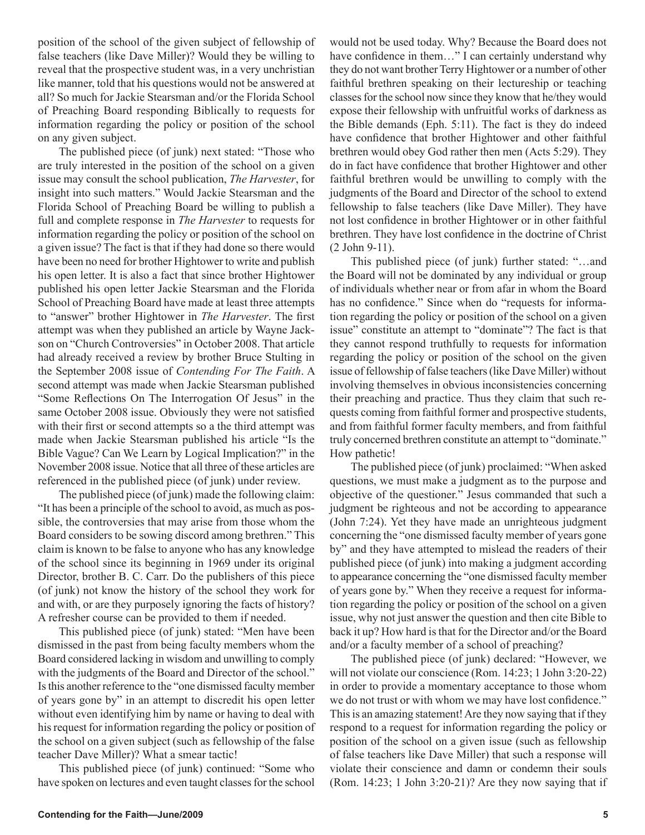position of the school of the given subject of fellowship of false teachers (like Dave Miller)? Would they be willing to reveal that the prospective student was, in a very unchristian like manner, told that his questions would not be answered at all? So much for Jackie Stearsman and/or the Florida School of Preaching Board responding Biblically to requests for information regarding the policy or position of the school on any given subject.

The published piece (of junk) next stated: "Those who are truly interested in the position of the school on a given issue may consult the school publication, *The Harvester*, for insight into such matters." Would Jackie Stearsman and the Florida School of Preaching Board be willing to publish a full and complete response in *The Harvester* to requests for information regarding the policy or position of the school on a given issue? The fact is that if they had done so there would have been no need for brother Hightower to write and publish his open letter. It is also a fact that since brother Hightower published his open letter Jackie Stearsman and the Florida School of Preaching Board have made at least three attempts to "answer" brother Hightower in *The Harvester*. The first attempt was when they published an article by Wayne Jackson on "Church Controversies" in October 2008. That article had already received a review by brother Bruce Stulting in the September 2008 issue of *Contending For The Faith*. A second attempt was made when Jackie Stearsman published "Some Reflections On The Interrogation Of Jesus" in the same October 2008 issue. Obviously they were not satisfied with their first or second attempts so a the third attempt was made when Jackie Stearsman published his article "Is the Bible Vague? Can We Learn by Logical Implication?" in the November 2008 issue. Notice that all three of these articles are referenced in the published piece (of junk) under review.

The published piece (of junk) made the following claim: "It has been a principle of the school to avoid, as much as possible, the controversies that may arise from those whom the Board considers to be sowing discord among brethren." This claim is known to be false to anyone who has any knowledge of the school since its beginning in 1969 under its original Director, brother B. C. Carr. Do the publishers of this piece (of junk) not know the history of the school they work for and with, or are they purposely ignoring the facts of history? A refresher course can be provided to them if needed.

This published piece (of junk) stated: "Men have been dismissed in the past from being faculty members whom the Board considered lacking in wisdom and unwilling to comply with the judgments of the Board and Director of the school." Is this another reference to the "one dismissed faculty member of years gone by" in an attempt to discredit his open letter without even identifying him by name or having to deal with his request for information regarding the policy or position of the school on a given subject (such as fellowship of the false teacher Dave Miller)? What a smear tactic!

This published piece (of junk) continued: "Some who have spoken on lectures and even taught classes for the school

would not be used today. Why? Because the Board does not have confidence in them..." I can certainly understand why they do not want brother Terry Hightower or a number of other faithful brethren speaking on their lectureship or teaching classes for the school now since they know that he/they would expose their fellowship with unfruitful works of darkness as the Bible demands (Eph. 5:11). The fact is they do indeed have confidence that brother Hightower and other faithful brethren would obey God rather then men (Acts 5:29). They do in fact have confidence that brother Hightower and other faithful brethren would be unwilling to comply with the judgments of the Board and Director of the school to extend fellowship to false teachers (like Dave Miller). They have not lost confidence in brother Hightower or in other faithful brethren. They have lost confidence in the doctrine of Christ (2 John 9-11).

This published piece (of junk) further stated: "…and the Board will not be dominated by any individual or group of individuals whether near or from afar in whom the Board has no confidence." Since when do "requests for information regarding the policy or position of the school on a given issue" constitute an attempt to "dominate"? The fact is that they cannot respond truthfully to requests for information regarding the policy or position of the school on the given issue of fellowship of false teachers (like Dave Miller) without involving themselves in obvious inconsistencies concerning their preaching and practice. Thus they claim that such requests coming from faithful former and prospective students, and from faithful former faculty members, and from faithful truly concerned brethren constitute an attempt to "dominate." How pathetic!

The published piece (of junk) proclaimed: "When asked questions, we must make a judgment as to the purpose and objective of the questioner." Jesus commanded that such a judgment be righteous and not be according to appearance (John 7:24). Yet they have made an unrighteous judgment concerning the "one dismissed faculty member of years gone by" and they have attempted to mislead the readers of their published piece (of junk) into making a judgment according to appearance concerning the "one dismissed faculty member of years gone by." When they receive a request for information regarding the policy or position of the school on a given issue, why not just answer the question and then cite Bible to back it up? How hard is that for the Director and/or the Board and/or a faculty member of a school of preaching?

The published piece (of junk) declared: "However, we will not violate our conscience (Rom. 14:23; 1 John 3:20-22) in order to provide a momentary acceptance to those whom we do not trust or with whom we may have lost confidence." This is an amazing statement! Are they now saying that if they respond to a request for information regarding the policy or position of the school on a given issue (such as fellowship of false teachers like Dave Miller) that such a response will violate their conscience and damn or condemn their souls (Rom. 14:23; 1 John 3:20-21)? Are they now saying that if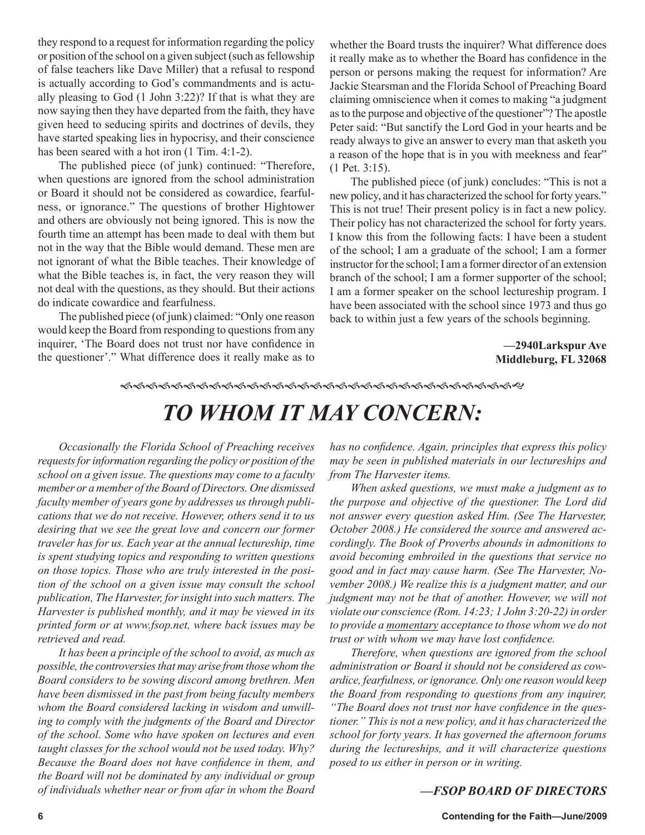they respond to a request for information regarding the policy or position of the school on a given subject (such as fellowship of false teachers like Dave Miller) that a refusal to respond is actually according to God's commandments and is actually pleasing to God (1 John 3:22)? If that is what they are now saying then they have departed from the faith, they have given heed to seducing spirits and doctrines of devils, they have started speaking lies in hypocrisy, and their conscience has been seared with a hot iron  $(1 \text{ Tim. } 4:1-2)$ .

The published piece (of junk) continued: "Therefore, when questions are ignored from the school administration or Board it should not be considered as cowardice, fearfulness, or ignorance." The questions of brother Hightower and others are obviously not being ignored. This is now the fourth time an attempt has been made to deal with them but not in the way that the Bible would demand. These men are not ignorant of what the Bible teaches. Their knowledge of what the Bible teaches is, in fact, the very reason they will not deal with the questions, as they should. But their actions do indicate cowardice and fearfulness.

The published piece (of junk) claimed: "Only one reason would keep the Board from responding to questions from any inquirer, 'The Board does not trust nor have confidence in the questioner'." What difference does it really make as to

whether the Board trusts the inquirer? What difference does it really make as to whether the Board has confidence in the person or persons making the request for information? Are Jackie Stearsman and the Florida School of Preaching Board claiming omniscience when it comes to making "a judgment as to the purpose and objective of the questioner"? The apostle Peter said: "But sanctify the Lord God in your hearts and be ready always to give an answer to every man that asketh you a reason of the hope that is in you with meekness and fear" (1 Pet. 3:15).

The published piece (of junk) concludes: "This is not a new policy, and it has characterized the school for forty years." This is not true! Their present policy is in fact a new policy. Their policy has not characterized the school for forty years. I know this from the following facts: I have been a student of the school; I am a graduate of the school; I am a former instructor for the school; I am a former director of an extension branch of the school; I am a former supporter of the school; I am a former speaker on the school lectureship program. I have been associated with the school since 1973 and thus go back to within just a few years of the schools beginning.

> **—2940Larkspur Ave Middleburg, FL 32068**

#### 

# *TO WHOM IT MAY CONCERN:*

*Occasionally the Florida School of Preaching receives requests for information regarding the policy or position of the school on a given issue. The questions may come to a faculty member or a member of the Board of Directors. One dismissed faculty member of years gone by addresses us through publications that we do not receive. However, others send it to us desiring that we see the great love and concern our former traveler has for us. Each year at the annual lectureship, time is spent studying topics and responding to written questions on those topics. Those who are truly interested in the position of the school on a given issue may consult the school publication, The Harvester, for insight into such matters. The Harvester is published monthly, and it may be viewed in its printed form or at www.fsop.net, where back issues may be retrieved and read.*

*It has been a principle of the school to avoid, as much as possible, the controversies that may arise from those whom the Board considers to be sowing discord among brethren. Men have been dismissed in the past from being faculty members whom the Board considered lacking in wisdom and unwilling to comply with the judgments of the Board and Director of the school. Some who have spoken on lectures and even taught classes for the school would not be used today. Why? Because the Board does not have confidence in them, and the Board will not be dominated by any individual or group of individuals whether near or from afar in whom the Board* 

*has no confidence. Again, principles that express this policy may be seen in published materials in our lectureships and from The Harvester items.*

*When asked questions, we must make a judgment as to the purpose and objective of the questioner. The Lord did not answer every question asked Him. (See The Harvester, October 2008.) He considered the source and answered accordingly. The Book of Proverbs abounds in admonitions to avoid becoming embroiled in the questions that service no good and in fact may cause harm. (See The Harvester, November 2008.) We realize this is a judgment matter, and our judgment may not be that of another. However, we will not violate our conscience (Rom. 14:23; 1 John 3:20-22) in order to provide a momentary acceptance to those whom we do not trust or with whom we may have lost confidence.*

*Therefore, when questions are ignored from the school administration or Board it should not be considered as cowardice, fearfulness, or ignorance. Only one reason would keep the Board from responding to questions from any inquirer, "The Board does not trust nor have confidence in the questioner." This is not a new policy, and it has characterized the school for forty years. It has governed the afternoon forums during the lectureships, and it will characterize questions posed to us either in person or in writing.* 

#### *—FSOP BOARD OF DIRECTORS*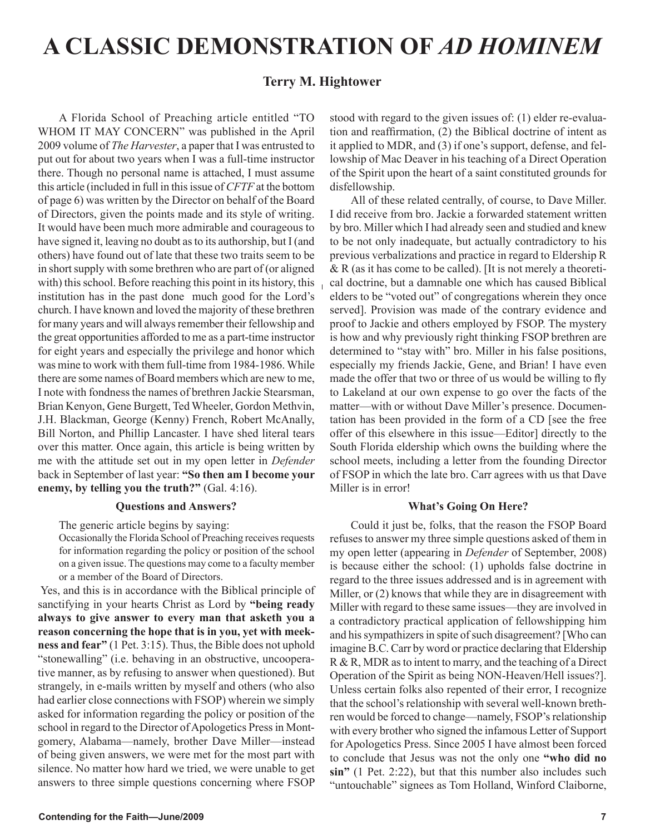# **A CLASSIC DEMONSTRATION OF** *AD HOMINEM*

#### **Terry M. Hightower**

A Florida School of Preaching article entitled "TO WHOM IT MAY CONCERN" was published in the April 2009 volume of *The Harvester*, a paper that I was entrusted to put out for about two years when I was a full-time instructor there. Though no personal name is attached, I must assume this article (included in full in this issue of *CFTF* at the bottom of page 6) was written by the Director on behalf of the Board of Directors, given the points made and its style of writing. It would have been much more admirable and courageous to have signed it, leaving no doubt as to its authorship, but I (and others) have found out of late that these two traits seem to be in short supply with some brethren who are part of (or aligned with) this school. Before reaching this point in its history, this institution has in the past done much good for the Lord's church. I have known and loved the majority of these brethren for many years and will always remember their fellowship and the great opportunities afforded to me as a part-time instructor for eight years and especially the privilege and honor which was mine to work with them full-time from 1984-1986. While there are some names of Board members which are new to me, I note with fondness the names of brethren Jackie Stearsman, Brian Kenyon, Gene Burgett, Ted Wheeler, Gordon Methvin, J.H. Blackman, George (Kenny) French, Robert McAnally, Bill Norton, and Phillip Lancaster. I have shed literal tears over this matter. Once again, this article is being written by me with the attitude set out in my open letter in *Defender* back in September of last year: **"So then am I become your enemy, by telling you the truth?"** (Gal. 4:16).

#### **Questions and Answers?**

The generic article begins by saying:

Occasionally the Florida School of Preaching receives requests for information regarding the policy or position of the school on a given issue. The questions may come to a faculty member or a member of the Board of Directors.

 Yes, and this is in accordance with the Biblical principle of sanctifying in your hearts Christ as Lord by **"being ready always to give answer to every man that asketh you a reason concerning the hope that is in you, yet with meekness and fear"** (1 Pet. 3:15). Thus, the Bible does not uphold "stonewalling" (i.e. behaving in an obstructive, uncooperative manner, as by refusing to answer when questioned). But strangely, in e-mails written by myself and others (who also had earlier close connections with FSOP) wherein we simply asked for information regarding the policy or position of the school in regard to the Director of Apologetics Press in Montgomery, Alabama—namely, brother Dave Miller—instead of being given answers, we were met for the most part with silence. No matter how hard we tried, we were unable to get answers to three simple questions concerning where FSOP stood with regard to the given issues of: (1) elder re-evaluation and reaffirmation, (2) the Biblical doctrine of intent as it applied to MDR, and (3) if one's support, defense, and fellowship of Mac Deaver in his teaching of a Direct Operation of the Spirit upon the heart of a saint constituted grounds for disfellowship.

All of these related centrally, of course, to Dave Miller. I did receive from bro. Jackie a forwarded statement written by bro. Miller which I had already seen and studied and knew to be not only inadequate, but actually contradictory to his previous verbalizations and practice in regard to Eldership R  $&R$  (as it has come to be called). [It is not merely a theoretical doctrine, but a damnable one which has caused Biblical elders to be "voted out" of congregations wherein they once served]. Provision was made of the contrary evidence and proof to Jackie and others employed by FSOP. The mystery is how and why previously right thinking FSOP brethren are determined to "stay with" bro. Miller in his false positions, especially my friends Jackie, Gene, and Brian! I have even made the offer that two or three of us would be willing to fly to Lakeland at our own expense to go over the facts of the matter—with or without Dave Miller's presence. Documentation has been provided in the form of a CD [see the free offer of this elsewhere in this issue—Editor] directly to the South Florida eldership which owns the building where the school meets, including a letter from the founding Director of FSOP in which the late bro. Carr agrees with us that Dave Miller is in error!

#### **What's Going On Here?**

Could it just be, folks, that the reason the FSOP Board refuses to answer my three simple questions asked of them in my open letter (appearing in *Defender* of September, 2008) is because either the school: (1) upholds false doctrine in regard to the three issues addressed and is in agreement with Miller, or  $(2)$  knows that while they are in disagreement with Miller with regard to these same issues—they are involved in a contradictory practical application of fellowshipping him and his sympathizers in spite of such disagreement? [Who can imagine B.C. Carr by word or practice declaring that Eldership R & R, MDR as to intent to marry, and the teaching of a Direct Operation of the Spirit as being NON-Heaven/Hell issues?]. Unless certain folks also repented of their error, I recognize that the school's relationship with several well-known brethren would be forced to change—namely, FSOP's relationship with every brother who signed the infamous Letter of Support for Apologetics Press. Since 2005 I have almost been forced to conclude that Jesus was not the only one **"who did no sin"** (1 Pet. 2:22), but that this number also includes such "untouchable" signees as Tom Holland, Winford Claiborne,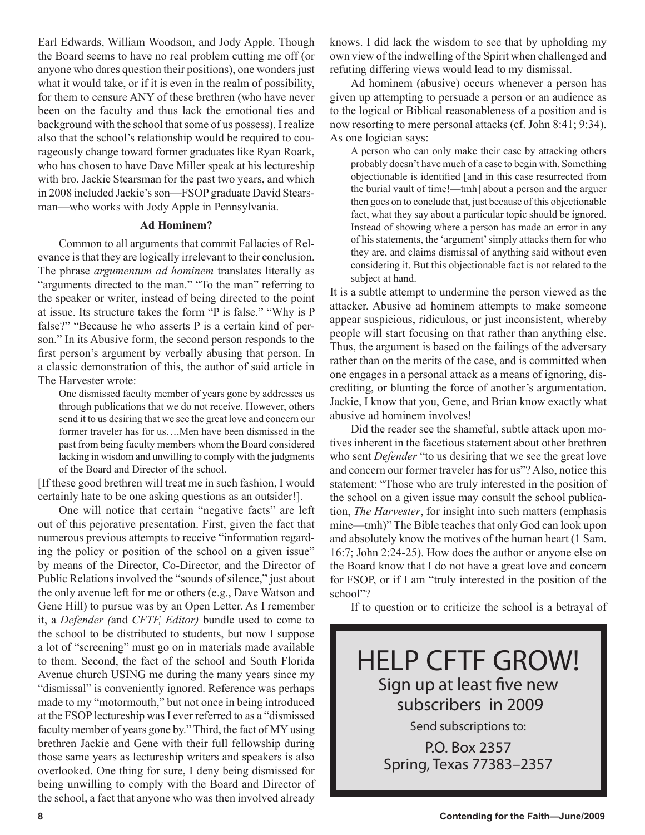Earl Edwards, William Woodson, and Jody Apple. Though the Board seems to have no real problem cutting me off (or anyone who dares question their positions), one wonders just what it would take, or if it is even in the realm of possibility, for them to censure ANY of these brethren (who have never been on the faculty and thus lack the emotional ties and background with the school that some of us possess). I realize also that the school's relationship would be required to courageously change toward former graduates like Ryan Roark, who has chosen to have Dave Miller speak at his lectureship with bro. Jackie Stearsman for the past two years, and which in 2008 included Jackie's son—FSOP graduate David Stearsman—who works with Jody Apple in Pennsylvania.

#### **Ad Hominem?**

Common to all arguments that commit Fallacies of Relevance is that they are logically irrelevant to their conclusion. The phrase *argumentum ad hominem* translates literally as "arguments directed to the man." "To the man" referring to the speaker or writer, instead of being directed to the point at issue. Its structure takes the form "P is false." "Why is P false?" "Because he who asserts P is a certain kind of person." In its Abusive form, the second person responds to the first person's argument by verbally abusing that person. In a classic demonstration of this, the author of said article in The Harvester wrote:

One dismissed faculty member of years gone by addresses us through publications that we do not receive. However, others send it to us desiring that we see the great love and concern our former traveler has for us….Men have been dismissed in the past from being faculty members whom the Board considered lacking in wisdom and unwilling to comply with the judgments of the Board and Director of the school.

[If these good brethren will treat me in such fashion, I would certainly hate to be one asking questions as an outsider!].

One will notice that certain "negative facts" are left out of this pejorative presentation. First, given the fact that numerous previous attempts to receive "information regarding the policy or position of the school on a given issue" by means of the Director, Co-Director, and the Director of Public Relations involved the "sounds of silence," just about the only avenue left for me or others (e.g., Dave Watson and Gene Hill) to pursue was by an Open Letter. As I remember it, a *Defender (*and *CFTF, Editor)* bundle used to come to the school to be distributed to students, but now I suppose a lot of "screening" must go on in materials made available to them. Second, the fact of the school and South Florida Avenue church USING me during the many years since my "dismissal" is conveniently ignored. Reference was perhaps made to my "motormouth," but not once in being introduced at the FSOP lectureship was I ever referred to as a "dismissed faculty member of years gone by." Third, the fact of MY using brethren Jackie and Gene with their full fellowship during those same years as lectureship writers and speakers is also overlooked. One thing for sure, I deny being dismissed for being unwilling to comply with the Board and Director of the school, a fact that anyone who was then involved already knows. I did lack the wisdom to see that by upholding my own view of the indwelling of the Spirit when challenged and refuting differing views would lead to my dismissal.

Ad hominem (abusive) occurs whenever a person has given up attempting to persuade a person or an audience as to the logical or Biblical reasonableness of a position and is now resorting to mere personal attacks (cf. John 8:41; 9:34). As one logician says:

A person who can only make their case by attacking others probably doesn't have much of a case to begin with. Something objectionable is identified [and in this case resurrected from the burial vault of time!—tmh] about a person and the arguer then goes on to conclude that, just because of this objectionable fact, what they say about a particular topic should be ignored. Instead of showing where a person has made an error in any of his statements, the 'argument' simply attacks them for who they are, and claims dismissal of anything said without even considering it. But this objectionable fact is not related to the subject at hand.

It is a subtle attempt to undermine the person viewed as the attacker. Abusive ad hominem attempts to make someone appear suspicious, ridiculous, or just inconsistent, whereby people will start focusing on that rather than anything else. Thus, the argument is based on the failings of the adversary rather than on the merits of the case, and is committed when one engages in a personal attack as a means of ignoring, discrediting, or blunting the force of another's argumentation. Jackie, I know that you, Gene, and Brian know exactly what abusive ad hominem involves!

Did the reader see the shameful, subtle attack upon motives inherent in the facetious statement about other brethren who sent *Defender* "to us desiring that we see the great love and concern our former traveler has for us"? Also, notice this statement: "Those who are truly interested in the position of the school on a given issue may consult the school publication, *The Harvester*, for insight into such matters (emphasis mine—tmh)" The Bible teaches that only God can look upon and absolutely know the motives of the human heart (1 Sam. 16:7; John 2:24-25). How does the author or anyone else on the Board know that I do not have a great love and concern for FSOP, or if I am "truly interested in the position of the school"?

If to question or to criticize the school is a betrayal of



Spring, Texas 77383–2357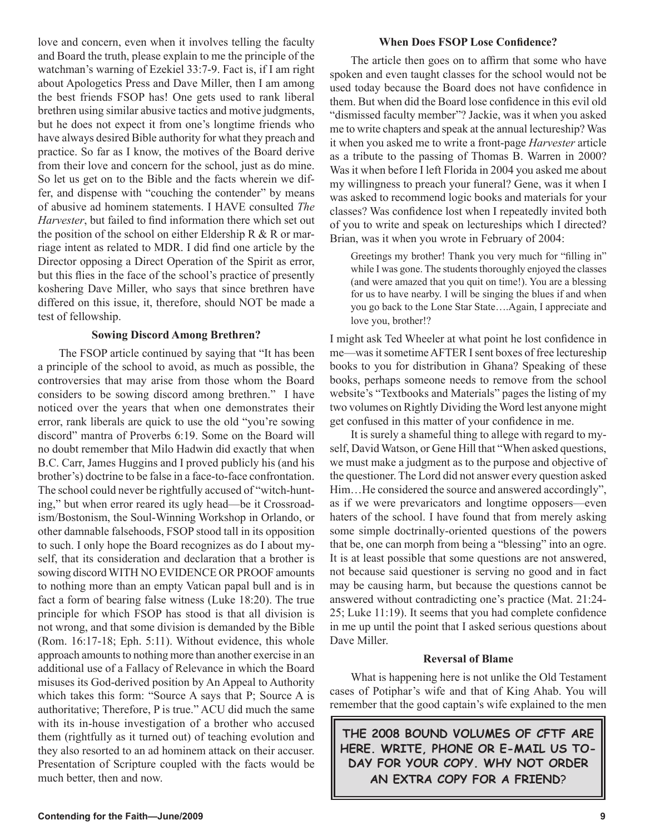love and concern, even when it involves telling the faculty and Board the truth, please explain to me the principle of the watchman's warning of Ezekiel 33:7-9. Fact is, if I am right about Apologetics Press and Dave Miller, then I am among the best friends FSOP has! One gets used to rank liberal brethren using similar abusive tactics and motive judgments, but he does not expect it from one's longtime friends who have always desired Bible authority for what they preach and practice. So far as I know, the motives of the Board derive from their love and concern for the school, just as do mine. So let us get on to the Bible and the facts wherein we differ, and dispense with "couching the contender" by means of abusive ad hominem statements. I HAVE consulted *The Harvester*, but failed to find information there which set out the position of the school on either Eldership R  $&$  R or marriage intent as related to MDR. I did find one article by the Director opposing a Direct Operation of the Spirit as error, but this flies in the face of the school's practice of presently koshering Dave Miller, who says that since brethren have differed on this issue, it, therefore, should NOT be made a test of fellowship.

#### **Sowing Discord Among Brethren?**

The FSOP article continued by saying that "It has been a principle of the school to avoid, as much as possible, the controversies that may arise from those whom the Board considers to be sowing discord among brethren." I have noticed over the years that when one demonstrates their error, rank liberals are quick to use the old "you're sowing discord" mantra of Proverbs 6:19. Some on the Board will no doubt remember that Milo Hadwin did exactly that when B.C. Carr, James Huggins and I proved publicly his (and his brother's) doctrine to be false in a face-to-face confrontation. The school could never be rightfully accused of "witch-hunting," but when error reared its ugly head—be it Crossroadism/Bostonism, the Soul-Winning Workshop in Orlando, or other damnable falsehoods, FSOP stood tall in its opposition to such. I only hope the Board recognizes as do I about myself, that its consideration and declaration that a brother is sowing discord WITH NO EVIDENCE OR PROOF amounts to nothing more than an empty Vatican papal bull and is in fact a form of bearing false witness (Luke 18:20). The true principle for which FSOP has stood is that all division is not wrong, and that some division is demanded by the Bible (Rom. 16:17-18; Eph. 5:11). Without evidence, this whole approach amounts to nothing more than another exercise in an additional use of a Fallacy of Relevance in which the Board misuses its God-derived position by An Appeal to Authority which takes this form: "Source A says that P; Source A is authoritative; Therefore, P is true." ACU did much the same with its in-house investigation of a brother who accused them (rightfully as it turned out) of teaching evolution and they also resorted to an ad hominem attack on their accuser. Presentation of Scripture coupled with the facts would be much better, then and now.

#### **When Does FSOP Lose Confidence?**

The article then goes on to affirm that some who have spoken and even taught classes for the school would not be used today because the Board does not have confidence in them. But when did the Board lose confidence in this evil old "dismissed faculty member"? Jackie, was it when you asked me to write chapters and speak at the annual lectureship? Was it when you asked me to write a front-page *Harvester* article as a tribute to the passing of Thomas B. Warren in 2000? Was it when before I left Florida in 2004 you asked me about my willingness to preach your funeral? Gene, was it when I was asked to recommend logic books and materials for your classes? Was confidence lost when I repeatedly invited both of you to write and speak on lectureships which I directed? Brian, was it when you wrote in February of 2004:

Greetings my brother! Thank you very much for "filling in" while I was gone. The students thoroughly enjoyed the classes (and were amazed that you quit on time!). You are a blessing for us to have nearby. I will be singing the blues if and when you go back to the Lone Star State….Again, I appreciate and love you, brother!?

I might ask Ted Wheeler at what point he lost confidence in me—was it sometime AFTER I sent boxes of free lectureship books to you for distribution in Ghana? Speaking of these books, perhaps someone needs to remove from the school website's "Textbooks and Materials" pages the listing of my two volumes on Rightly Dividing the Word lest anyone might get confused in this matter of your confidence in me.

It is surely a shameful thing to allege with regard to myself, David Watson, or Gene Hill that "When asked questions, we must make a judgment as to the purpose and objective of the questioner. The Lord did not answer every question asked Him…He considered the source and answered accordingly", as if we were prevaricators and longtime opposers—even haters of the school. I have found that from merely asking some simple doctrinally-oriented questions of the powers that be, one can morph from being a "blessing" into an ogre. It is at least possible that some questions are not answered, not because said questioner is serving no good and in fact may be causing harm, but because the questions cannot be answered without contradicting one's practice (Mat. 21:24- 25; Luke 11:19). It seems that you had complete confidence in me up until the point that I asked serious questions about Dave Miller.

#### **Reversal of Blame**

What is happening here is not unlike the Old Testament cases of Potiphar's wife and that of King Ahab. You will remember that the good captain's wife explained to the men

**THE 2008 BOUND VOLUMES OF CFTF ARE HERE. WRITE, PHONE OR E-MAIL US TO-DAY FOR YOUR COPY. WHY NOT ORDER AN EXTRA COPY FOR A FRIEND**?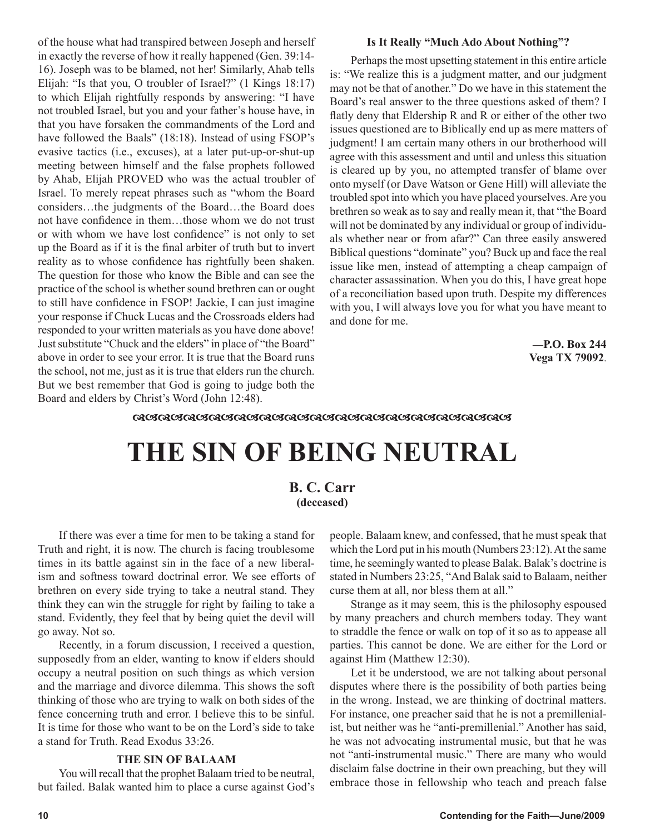of the house what had transpired between Joseph and herself in exactly the reverse of how it really happened (Gen. 39:14- 16). Joseph was to be blamed, not her! Similarly, Ahab tells Elijah: "Is that you, O troubler of Israel?" (1 Kings 18:17) to which Elijah rightfully responds by answering: "I have not troubled Israel, but you and your father's house have, in that you have forsaken the commandments of the Lord and have followed the Baals" (18:18). Instead of using FSOP's evasive tactics (i.e., excuses), at a later put-up-or-shut-up meeting between himself and the false prophets followed by Ahab, Elijah PROVED who was the actual troubler of Israel. To merely repeat phrases such as "whom the Board considers…the judgments of the Board…the Board does not have confidence in them…those whom we do not trust or with whom we have lost confidence" is not only to set up the Board as if it is the final arbiter of truth but to invert reality as to whose confidence has rightfully been shaken. The question for those who know the Bible and can see the practice of the school is whether sound brethren can or ought to still have confidence in FSOP! Jackie, I can just imagine your response if Chuck Lucas and the Crossroads elders had responded to your written materials as you have done above! Just substitute "Chuck and the elders" in place of "the Board" above in order to see your error. It is true that the Board runs the school, not me, just as it is true that elders run the church. But we best remember that God is going to judge both the Board and elders by Christ's Word (John 12:48).

#### **Is It Really "Much Ado About Nothing"?**

Perhaps the most upsetting statement in this entire article is: "We realize this is a judgment matter, and our judgment may not be that of another." Do we have in this statement the Board's real answer to the three questions asked of them? I flatly deny that Eldership R and R or either of the other two issues questioned are to Biblically end up as mere matters of judgment! I am certain many others in our brotherhood will agree with this assessment and until and unless this situation is cleared up by you, no attempted transfer of blame over onto myself (or Dave Watson or Gene Hill) will alleviate the troubled spot into which you have placed yourselves. Are you brethren so weak as to say and really mean it, that "the Board will not be dominated by any individual or group of individuals whether near or from afar?" Can three easily answered Biblical questions "dominate" you? Buck up and face the real issue like men, instead of attempting a cheap campaign of character assassination. When you do this, I have great hope of a reconciliation based upon truth. Despite my differences with you, I will always love you for what you have meant to and done for me.

> **—P.O. Box 244 Vega TX 79092**.

#### <u> ଜାଙ୍କରାଜାତା ଅବସ୍ଥାନ ସେ ଅବସ୍ଥାନ ସେ ଅବସ୍ଥାନ ସେ ଅବସ୍ଥାନ ସେ ଅବସ୍ଥାନ ସେ ଅବସ୍ଥାନ ସେ ସେ ସେ ସେ ସେ ସେ ସେ ସେ ସେ ସେ ସେ ସ</u>

# **THE SIN OF BEING NEUTRAL**

#### **B. C. Carr (deceased)**

If there was ever a time for men to be taking a stand for Truth and right, it is now. The church is facing troublesome times in its battle against sin in the face of a new liberalism and softness toward doctrinal error. We see efforts of brethren on every side trying to take a neutral stand. They think they can win the struggle for right by failing to take a stand. Evidently, they feel that by being quiet the devil will go away. Not so.

Recently, in a forum discussion, I received a question, supposedly from an elder, wanting to know if elders should occupy a neutral position on such things as which version and the marriage and divorce dilemma. This shows the soft thinking of those who are trying to walk on both sides of the fence concerning truth and error. I believe this to be sinful. It is time for those who want to be on the Lord's side to take a stand for Truth. Read Exodus 33:26.

#### **THE SIN OF BALAAM**

You will recall that the prophet Balaam tried to be neutral, but failed. Balak wanted him to place a curse against God's people. Balaam knew, and confessed, that he must speak that which the Lord put in his mouth (Numbers 23:12). At the same time, he seemingly wanted to please Balak. Balak's doctrine is stated in Numbers 23:25, "And Balak said to Balaam, neither curse them at all, nor bless them at all."

Strange as it may seem, this is the philosophy espoused by many preachers and church members today. They want to straddle the fence or walk on top of it so as to appease all parties. This cannot be done. We are either for the Lord or against Him (Matthew 12:30).

Let it be understood, we are not talking about personal disputes where there is the possibility of both parties being in the wrong. Instead, we are thinking of doctrinal matters. For instance, one preacher said that he is not a premillenialist, but neither was he "anti-premillenial." Another has said, he was not advocating instrumental music, but that he was not "anti-instrumental music." There are many who would disclaim false doctrine in their own preaching, but they will embrace those in fellowship who teach and preach false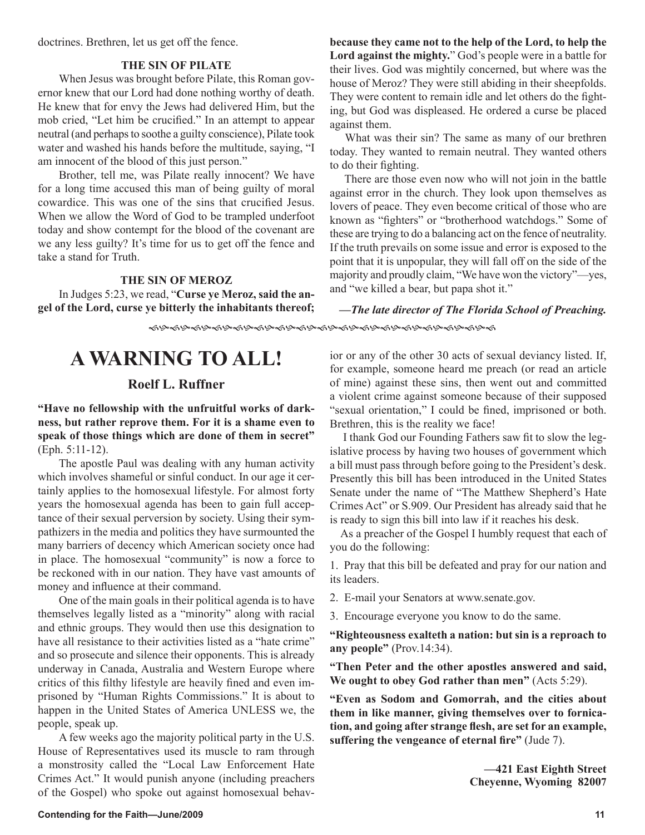doctrines. Brethren, let us get off the fence.

#### **THE SIN OF PILATE**

When Jesus was brought before Pilate, this Roman governor knew that our Lord had done nothing worthy of death. He knew that for envy the Jews had delivered Him, but the mob cried, "Let him be crucified." In an attempt to appear neutral (and perhaps to soothe a guilty conscience), Pilate took water and washed his hands before the multitude, saying, "I am innocent of the blood of this just person."

Brother, tell me, was Pilate really innocent? We have for a long time accused this man of being guilty of moral cowardice. This was one of the sins that crucified Jesus. When we allow the Word of God to be trampled underfoot today and show contempt for the blood of the covenant are we any less guilty? It's time for us to get off the fence and take a stand for Truth.

#### **THE SIN OF MEROZ**

In Judges 5:23, we read, "**Curse ye Meroz, said the angel of the Lord, curse ye bitterly the inhabitants thereof;**  **because they came not to the help of the Lord, to help the Lord against the mighty.**" God's people were in a battle for their lives. God was mightily concerned, but where was the house of Meroz? They were still abiding in their sheepfolds. They were content to remain idle and let others do the fighting, but God was displeased. He ordered a curse be placed against them.

 What was their sin? The same as many of our brethren today. They wanted to remain neutral. They wanted others to do their fighting.

 There are those even now who will not join in the battle against error in the church. They look upon themselves as lovers of peace. They even become critical of those who are known as "fighters" or "brotherhood watchdogs." Some of these are trying to do a balancing act on the fence of neutrality. If the truth prevails on some issue and error is exposed to the point that it is unpopular, they will fall off on the side of the majority and proudly claim, "We have won the victory"—yes, and "we killed a bear, but papa shot it."

**—***The late director of The Florida School of Preaching.* 

## **A WARNING TO ALL!**

#### **Roelf L. Ruffner**

**"Have no fellowship with the unfruitful works of darkness, but rather reprove them. For it is a shame even to speak of those things which are done of them in secret"** (Eph. 5:11-12).

The apostle Paul was dealing with any human activity which involves shameful or sinful conduct. In our age it certainly applies to the homosexual lifestyle. For almost forty years the homosexual agenda has been to gain full acceptance of their sexual perversion by society. Using their sympathizers in the media and politics they have surmounted the many barriers of decency which American society once had in place. The homosexual "community" is now a force to be reckoned with in our nation. They have vast amounts of money and influence at their command.

One of the main goals in their political agenda is to have themselves legally listed as a "minority" along with racial and ethnic groups. They would then use this designation to have all resistance to their activities listed as a "hate crime" and so prosecute and silence their opponents. This is already underway in Canada, Australia and Western Europe where critics of this filthy lifestyle are heavily fined and even imprisoned by "Human Rights Commissions." It is about to happen in the United States of America UNLESS we, the people, speak up.

A few weeks ago the majority political party in the U.S. House of Representatives used its muscle to ram through a monstrosity called the "Local Law Enforcement Hate Crimes Act." It would punish anyone (including preachers of the Gospel) who spoke out against homosexual behavior or any of the other 30 acts of sexual deviancy listed. If, for example, someone heard me preach (or read an article of mine) against these sins, then went out and committed a violent crime against someone because of their supposed "sexual orientation," I could be fined, imprisoned or both. Brethren, this is the reality we face!

 I thank God our Founding Fathers saw fit to slow the legislative process by having two houses of government which a bill must pass through before going to the President's desk. Presently this bill has been introduced in the United States Senate under the name of "The Matthew Shepherd's Hate Crimes Act" or S.909. Our President has already said that he is ready to sign this bill into law if it reaches his desk.

 As a preacher of the Gospel I humbly request that each of you do the following:

1. Pray that this bill be defeated and pray for our nation and its leaders.

- 2. E-mail your Senators at www.senate.gov.
- 3. Encourage everyone you know to do the same.

**"Righteousness exalteth a nation: but sin is a reproach to any people"** (Prov.14:34).

**"Then Peter and the other apostles answered and said, We ought to obey God rather than men"** (Acts 5:29).

**"Even as Sodom and Gomorrah, and the cities about them in like manner, giving themselves over to fornication, and going after strange flesh, are set for an example, suffering the vengeance of eternal fire"** (Jude 7).

> **—421 East Eighth Street Cheyenne, Wyoming 82007**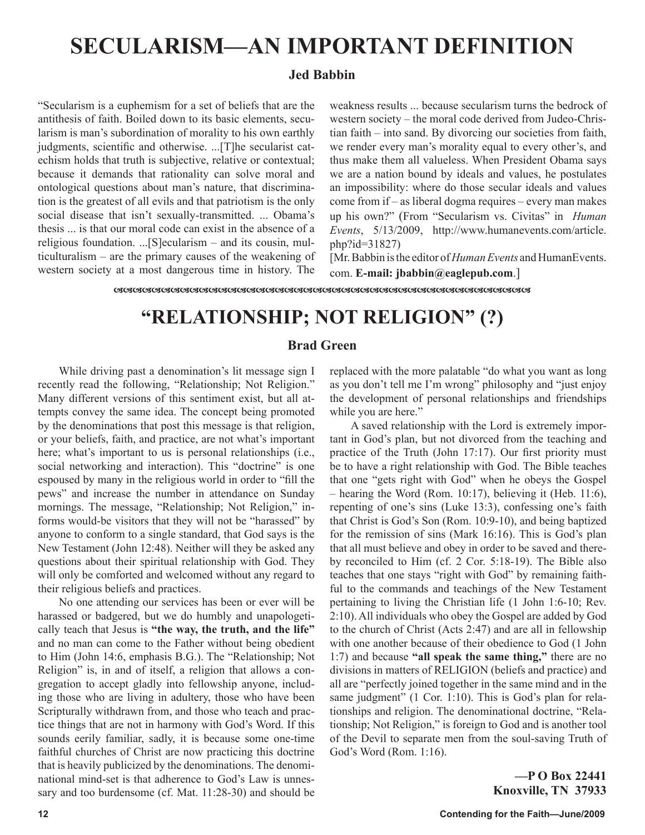# **SECULARISM—AN IMPORTANT DEFINITION**

#### **Jed Babbin**

"Secularism is a euphemism for a set of beliefs that are the antithesis of faith. Boiled down to its basic elements, secularism is man's subordination of morality to his own earthly judgments, scientific and otherwise. ...[T]he secularist catechism holds that truth is subjective, relative or contextual; because it demands that rationality can solve moral and ontological questions about man's nature, that discrimination is the greatest of all evils and that patriotism is the only social disease that isn't sexually-transmitted. ... Obama's thesis ... is that our moral code can exist in the absence of a religious foundation. ...[S]ecularism – and its cousin, multiculturalism – are the primary causes of the weakening of western society at a most dangerous time in history. The weakness results ... because secularism turns the bedrock of western society – the moral code derived from Judeo-Christian faith – into sand. By divorcing our societies from faith, we render every man's morality equal to every other's, and thus make them all valueless. When President Obama says we are a nation bound by ideals and values, he postulates an impossibility: where do those secular ideals and values come from if – as liberal dogma requires – every man makes up his own?" (From "Secularism vs. Civitas" in *Human Events*, 5/13/2009, http://www.humanevents.com/article. php?id=31827)

[Mr. Babbin is the editor of *Human Events* and HumanEvents. com. **E-mail: jbabbin@eaglepub.com**.]

## **"RELATIONSHIP; NOT RELIGION" (?)**

#### **Brad Green**

While driving past a denomination's lit message sign I recently read the following, "Relationship; Not Religion." Many different versions of this sentiment exist, but all attempts convey the same idea. The concept being promoted by the denominations that post this message is that religion, or your beliefs, faith, and practice, are not what's important here; what's important to us is personal relationships (i.e., social networking and interaction). This "doctrine" is one espoused by many in the religious world in order to "fill the pews" and increase the number in attendance on Sunday mornings. The message, "Relationship; Not Religion," informs would-be visitors that they will not be "harassed" by anyone to conform to a single standard, that God says is the New Testament (John 12:48). Neither will they be asked any questions about their spiritual relationship with God. They will only be comforted and welcomed without any regard to their religious beliefs and practices.

No one attending our services has been or ever will be harassed or badgered, but we do humbly and unapologetically teach that Jesus is **"the way, the truth, and the life"** and no man can come to the Father without being obedient to Him (John 14:6, emphasis B.G.). The "Relationship; Not Religion" is, in and of itself, a religion that allows a congregation to accept gladly into fellowship anyone, including those who are living in adultery, those who have been Scripturally withdrawn from, and those who teach and practice things that are not in harmony with God's Word. If this sounds eerily familiar, sadly, it is because some one-time faithful churches of Christ are now practicing this doctrine that is heavily publicized by the denominations. The denominational mind-set is that adherence to God's Law is unnessary and too burdensome (cf. Mat. 11:28-30) and should be replaced with the more palatable "do what you want as long as you don't tell me I'm wrong" philosophy and "just enjoy the development of personal relationships and friendships while you are here."

A saved relationship with the Lord is extremely important in God's plan, but not divorced from the teaching and practice of the Truth (John 17:17). Our first priority must be to have a right relationship with God. The Bible teaches that one "gets right with God" when he obeys the Gospel – hearing the Word (Rom. 10:17), believing it (Heb. 11:6), repenting of one's sins (Luke 13:3), confessing one's faith that Christ is God's Son (Rom. 10:9-10), and being baptized for the remission of sins (Mark 16:16). This is God's plan that all must believe and obey in order to be saved and thereby reconciled to Him (cf. 2 Cor. 5:18-19). The Bible also teaches that one stays "right with God" by remaining faithful to the commands and teachings of the New Testament pertaining to living the Christian life (1 John 1:6-10; Rev. 2:10). All individuals who obey the Gospel are added by God to the church of Christ (Acts 2:47) and are all in fellowship with one another because of their obedience to God (1 John 1:7) and because **"all speak the same thing,"** there are no divisions in matters of RELIGION (beliefs and practice) and all are "perfectly joined together in the same mind and in the same judgment" (1 Cor. 1:10). This is God's plan for relationships and religion. The denominational doctrine, "Relationship; Not Religion," is foreign to God and is another tool of the Devil to separate men from the soul-saving Truth of God's Word (Rom. 1:16).

> **—P O Box 22441 Knoxville, TN 37933**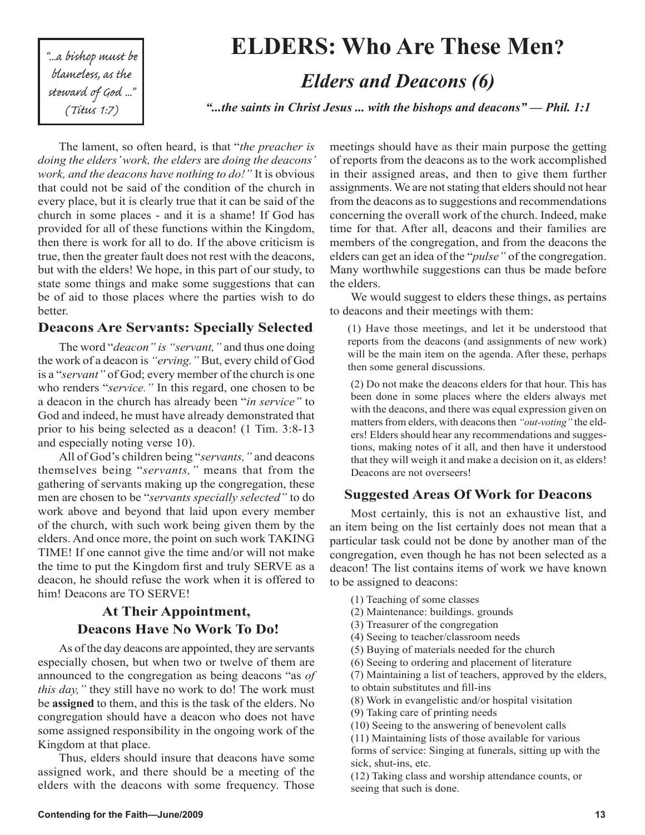"...a bishop must be blameless, as the steward of God ... (Titus 1:7)

# *"...the saints in Christ Jesus ... with the bishops and deacons" — Phil. 1:1* **ELDERS: Who Are These Men?** *Elders and Deacons (6)*

The lament, so often heard, is that "*the preacher is doing the elders' work, the elders* are *doing the deacons' work, and the deacons have nothing to do!"* It is obvious that could not be said of the condition of the church in every place, but it is clearly true that it can be said of the church in some places - and it is a shame! If God has provided for all of these functions within the Kingdom, then there is work for all to do. If the above criticism is true, then the greater fault does not rest with the deacons, but with the elders! We hope, in this part of our study, to state some things and make some suggestions that can be of aid to those places where the parties wish to do better.

#### **Deacons Are Servants: Specially Selected**

The word "*deacon" is "servant,"* and thus one doing the work of a deacon is *"erving."* But, every child of God is a "*servant"* of God; every member of the church is one who renders "*service."* In this regard, one chosen to be a deacon in the church has already been "*in service"* to God and indeed, he must have already demonstrated that prior to his being selected as a deacon! (1 Tim. 3:8-13 and especially noting verse 10).

All of God's children being "*servants,"* and deacons themselves being "*servants,"* means that from the gathering of servants making up the congregation, these men are chosen to be "*servants specially selected"* to do work above and beyond that laid upon every member of the church, with such work being given them by the elders. And once more, the point on such work TAKING TIME! If one cannot give the time and/or will not make the time to put the Kingdom first and truly SERVE as a deacon, he should refuse the work when it is offered to him! Deacons are TO SERVE!

#### **At Their Appointment, Deacons Have No Work To Do!**

As of the day deacons are appointed, they are servants especially chosen, but when two or twelve of them are announced to the congregation as being deacons "as *of this day,"* they still have no work to do! The work must be **assigned** to them, and this is the task of the elders. No congregation should have a deacon who does not have some assigned responsibility in the ongoing work of the Kingdom at that place.

Thus, elders should insure that deacons have some assigned work, and there should be a meeting of the elders with the deacons with some frequency. Those meetings should have as their main purpose the getting of reports from the deacons as to the work accomplished in their assigned areas, and then to give them further assignments. We are not stating that elders should not hear from the deacons as to suggestions and recommendations concerning the overall work of the church. Indeed, make time for that. After all, deacons and their families are members of the congregation, and from the deacons the elders can get an idea of the "*pulse"* of the congregation. Many worthwhile suggestions can thus be made before the elders.

We would suggest to elders these things, as pertains to deacons and their meetings with them:

(1) Have those meetings, and let it be understood that reports from the deacons (and assignments of new work) will be the main item on the agenda. After these, perhaps then some general discussions.

(2) Do not make the deacons elders for that hour. This has been done in some places where the elders always met with the deacons, and there was equal expression given on matters from elders, with deacons then *"out-voting"* the elders! Elders should hear any recommendations and suggestions, making notes of it all, and then have it understood that they will weigh it and make a decision on it, as elders! Deacons are not overseers!

#### **Suggested Areas Of Work for Deacons**

Most certainly, this is not an exhaustive list, and an item being on the list certainly does not mean that a particular task could not be done by another man of the congregation, even though he has not been selected as a deacon! The list contains items of work we have known to be assigned to deacons:

- (1) Teaching of some classes
- (2) Maintenance: buildings. grounds
- (3) Treasurer of the congregation
- (4) Seeing to teacher/classroom needs
- (5) Buying of materials needed for the church
- (6) Seeing to ordering and placement of literature

(7) Maintaining a list of teachers, approved by the elders, to obtain substitutes and fill-ins

- (8) Work in evangelistic and/or hospital visitation
- (9) Taking care of printing needs
- (10) Seeing to the answering of benevolent calls

(11) Maintaining lists of those available for various forms of service: Singing at funerals, sitting up with the sick, shut-ins, etc.

(12) Taking class and worship attendance counts, or seeing that such is done.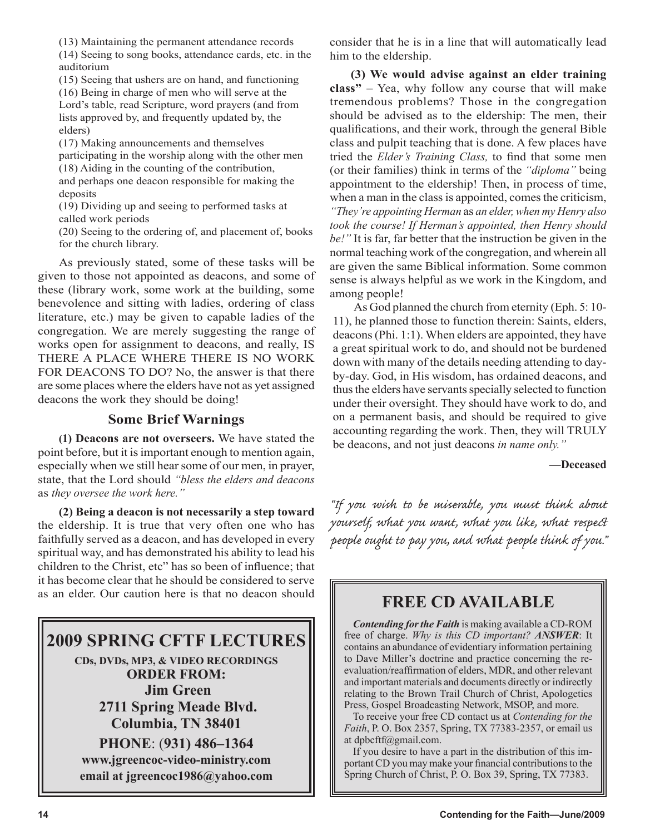(13) Maintaining the permanent attendance records

(14) Seeing to song books, attendance cards, etc. in the auditorium

(15) Seeing that ushers are on hand, and functioning (16) Being in charge of men who will serve at the Lord's table, read Scripture, word prayers (and from lists approved by, and frequently updated by, the elders)

(17) Making announcements and themselves participating in the worship along with the other men (18) Aiding in the counting of the contribution, and perhaps one deacon responsible for making the

deposits

(19) Dividing up and seeing to performed tasks at called work periods

(20) Seeing to the ordering of, and placement of, books for the church library.

As previously stated, some of these tasks will be given to those not appointed as deacons, and some of these (library work, some work at the building, some benevolence and sitting with ladies, ordering of class literature, etc.) may be given to capable ladies of the congregation. We are merely suggesting the range of works open for assignment to deacons, and really, IS THERE A PLACE WHERE THERE IS NO WORK FOR DEACONS TO DO? No, the answer is that there are some places where the elders have not as yet assigned deacons the work they should be doing!

#### **Some Brief Warnings**

**(1) Deacons are not overseers.** We have stated the point before, but it is important enough to mention again, especially when we still hear some of our men, in prayer, state, that the Lord should *"bless the elders and deacons*  as *they oversee the work here."* 

**(2) Being a deacon is not necessarily a step toward**  the eldership. It is true that very often one who has faithfully served as a deacon, and has developed in every spiritual way, and has demonstrated his ability to lead his children to the Christ, etc" has so been of influence; that it has become clear that he should be considered to serve as an elder. Our caution here is that no deacon should

## **2009 SPRING CFTF LECTURES**

**CDs, DVDs, MP3, & VIDEO RECORDINGS ORDER FROM: Jim Green 2711 Spring Meade Blvd. Columbia, TN 38401**

**PHONE**: (**931) 486–1364 www.jgreencoc-video-ministry.com email at jgreencoc1986@yahoo.com** consider that he is in a line that will automatically lead him to the eldership.

**(3) We would advise against an elder training class"** – Yea, why follow any course that will make tremendous problems? Those in the congregation should be advised as to the eldership: The men, their qualifications, and their work, through the general Bible class and pulpit teaching that is done. A few places have tried the *Elder's Training Class,* to find that some men (or their families) think in terms of the *"diploma"* being appointment to the eldership! Then, in process of time, when a man in the class is appointed, comes the criticism, *"They're appointing Herman* as *an elder, when my Henry also took the course! If Herman's appointed, then Henry should be!"* It is far, far better that the instruction be given in the normal teaching work of the congregation, and wherein all are given the same Biblical information. Some common sense is always helpful as we work in the Kingdom, and among people!

As God planned the church from eternity (Eph. 5: 10- 11), he planned those to function therein: Saints, elders, deacons (Phi. 1:1). When elders are appointed, they have a great spiritual work to do, and should not be burdened down with many of the details needing attending to dayby-day. God, in His wisdom, has ordained deacons, and thus the elders have servants specially selected to function under their oversight. They should have work to do, and on a permanent basis, and should be required to give accounting regarding the work. Then, they will TRULY be deacons, and not just deacons *in name only."* 

**—Deceased**

"If you wish to be miserable, you must think about yourself, what you want, what you like, what respect people ought to pay you, and what people think of you."

## **FREE CD AVAILABLE**

*Contending for the Faith* is making available a CD-ROM free of charge. *Why is this CD important? ANSWER*: It contains an abundance of evidentiary information pertaining to Dave Miller's doctrine and practice concerning the reevaluation/reaffirmation of elders, MDR, and other relevant and important materials and documents directly or indirectly relating to the Brown Trail Church of Christ, Apologetics Press, Gospel Broadcasting Network, MSOP, and more.

To receive your free CD contact us at *Contending for the Faith*, P. O. Box 2357, Spring, TX 77383-2357, or email us at dpbcftf@gmail.com.

If you desire to have a part in the distribution of this important CD you may make your financial contributions to the Spring Church of Christ, P. O. Box 39, Spring, TX 77383.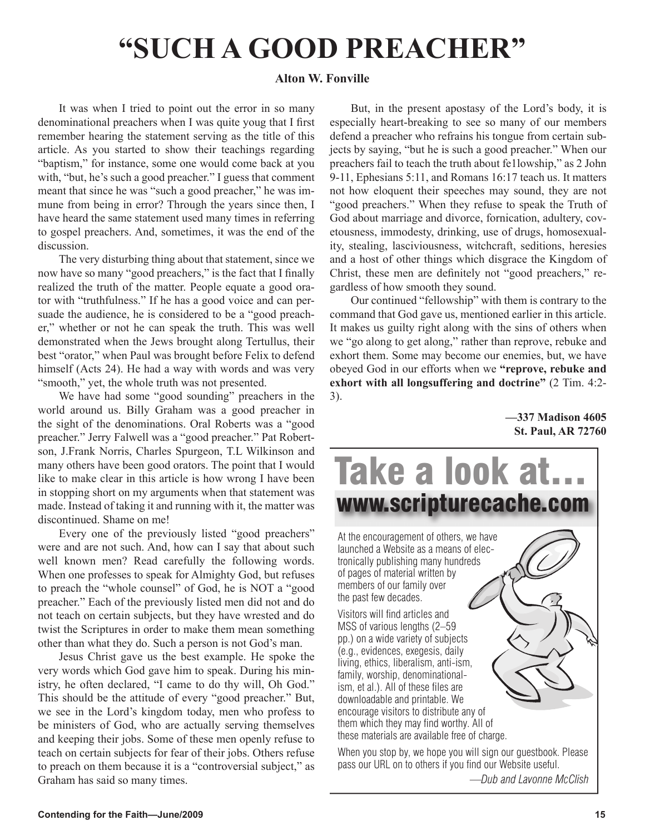# **"SUCH A GOOD PREACHER"**

#### **Alton W. Fonville**

It was when I tried to point out the error in so many denominational preachers when I was quite youg that I first remember hearing the statement serving as the title of this article. As you started to show their teachings regarding "baptism," for instance, some one would come back at you with, "but, he's such a good preacher." I guess that comment meant that since he was "such a good preacher," he was immune from being in error? Through the years since then, I have heard the same statement used many times in referring to gospel preachers. And, sometimes, it was the end of the discussion.

The very disturbing thing about that statement, since we now have so many "good preachers," is the fact that I finally realized the truth of the matter. People equate a good orator with "truthfulness." If he has a good voice and can persuade the audience, he is considered to be a "good preacher," whether or not he can speak the truth. This was well demonstrated when the Jews brought along Tertullus, their best "orator," when Paul was brought before Felix to defend himself (Acts 24). He had a way with words and was very "smooth," yet, the whole truth was not presented.

We have had some "good sounding" preachers in the world around us. Billy Graham was a good preacher in the sight of the denominations. Oral Roberts was a "good preacher." Jerry Falwell was a "good preacher." Pat Robertson, J.Frank Norris, Charles Spurgeon, T.L Wilkinson and many others have been good orators. The point that I would like to make clear in this article is how wrong I have been in stopping short on my arguments when that statement was made. Instead of taking it and running with it, the matter was discontinued. Shame on me!

Every one of the previously listed "good preachers" were and are not such. And, how can I say that about such well known men? Read carefully the following words. When one professes to speak for Almighty God, but refuses to preach the "whole counsel" of God, he is NOT a "good preacher." Each of the previously listed men did not and do not teach on certain subjects, but they have wrested and do twist the Scriptures in order to make them mean something other than what they do. Such a person is not God's man.

Jesus Christ gave us the best example. He spoke the very words which God gave him to speak. During his ministry, he often declared, "I came to do thy will, Oh God." This should be the attitude of every "good preacher." But, we see in the Lord's kingdom today, men who profess to be ministers of God, who are actually serving themselves and keeping their jobs. Some of these men openly refuse to teach on certain subjects for fear of their jobs. Others refuse to preach on them because it is a "controversial subject," as Graham has said so many times.

But, in the present apostasy of the Lord's body, it is especially heart-breaking to see so many of our members defend a preacher who refrains his tongue from certain subjects by saying, "but he is such a good preacher." When our preachers fail to teach the truth about fe1lowship," as 2 John 9-11, Ephesians 5:11, and Romans 16:17 teach us. It matters not how eloquent their speeches may sound, they are not "good preachers." When they refuse to speak the Truth of God about marriage and divorce, fornication, adultery, covetousness, immodesty, drinking, use of drugs, homosexuality, stealing, lasciviousness, witchcraft, seditions, heresies and a host of other things which disgrace the Kingdom of Christ, these men are definitely not "good preachers," regardless of how smooth they sound.

Our continued "fellowship" with them is contrary to the command that God gave us, mentioned earlier in this article. It makes us guilty right along with the sins of others when we "go along to get along," rather than reprove, rebuke and exhort them. Some may become our enemies, but, we have obeyed God in our efforts when we **"reprove, rebuke and exhort with all longsuffering and doctrine"** (2 Tim. 4:2- 3).

> **—337 Madison 4605 St. Paul, AR 72760**



pass our URL on to others if you find our Website useful. *—Dub and Lavonne McClish*